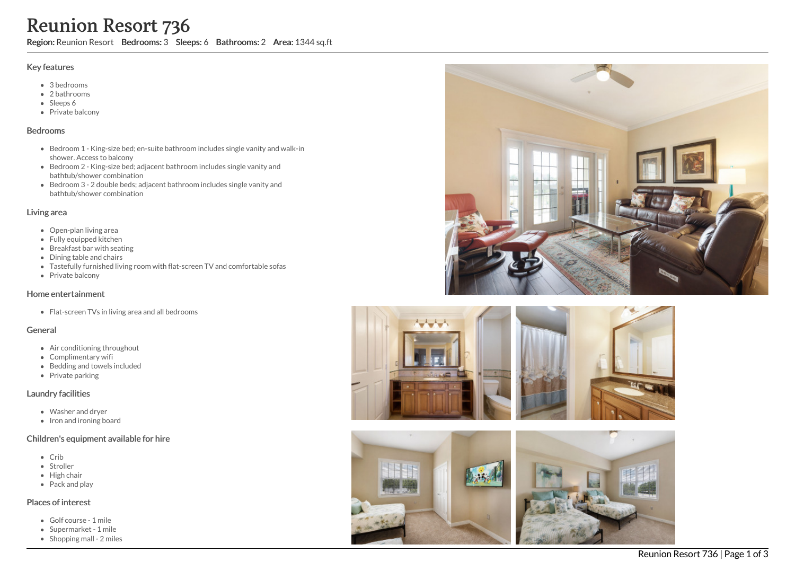# Reunion Resort 736

Region: Reunion Resort Bedrooms: 3 Sleeps: 6 Bathrooms: 2 Area: 1344 sq.ft

#### Key features

- 3 bedrooms
- 2 bathrooms
- Sleeps 6
- Private balcony

#### Bedrooms

- Bedroom 1 King-size bed; en-suite bathroom includes single vanity and walk-in shower. Access to balcony
- Bedroom 2 King-size bed; adjacent bathroom includes single vanity and bathtub/shower combination
- Bedroom 3 2 double beds; adjacent bathroom includes single vanity and bathtub/shower combination

### Living area

- Open-plan living area
- Fully equipped kitchen
- Breakfast bar with seating
- Dining table and chairs
- Tastefully furnished living room with flat-screen TV and comfortable sofas
- Private balcony

## Home entertainment

• Flat-screen TVs in living area and all bedrooms

### General

- Air conditioning throughout
- Complimentary wifi
- Bedding and towels included
- Private parking

## Laundry facilities

- Washer and dryer
- Iron and ironing board

## Children's equipment available for hire

- Crib
- Stroller
- High chair
- Pack and play

## Places of interest

- Golf course 1 mile
- Supermarket 1 mile
- $\bullet$  Shopping mall 2 miles





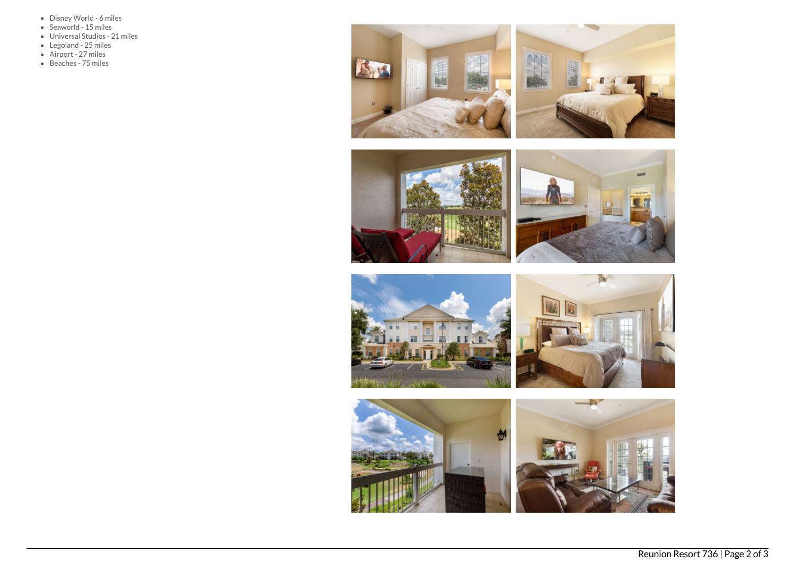- Disney World 6 miles
- Seaworld 15 miles
- Universal Studios 21 miles
- Legoland 25 miles
- Airport 27 miles
- Beaches 75 miles